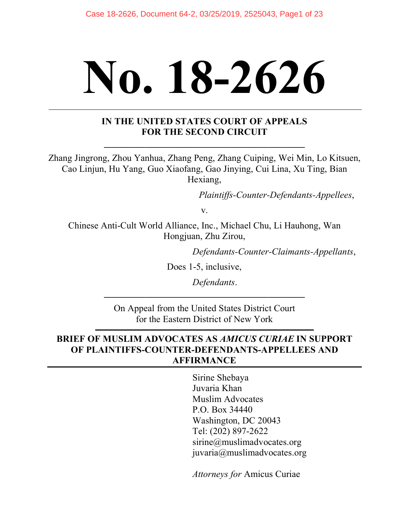# **No. 18-2626**

#### **IN THE UNITED STATES COURT OF APPEALS FOR THE SECOND CIRCUIT**

Zhang Jingrong, Zhou Yanhua, Zhang Peng, Zhang Cuiping, Wei Min, Lo Kitsuen, Cao Linjun, Hu Yang, Guo Xiaofang, Gao Jinying, Cui Lina, Xu Ting, Bian Hexiang,

*Plaintiffs-Counter-Defendants-Appellees*,

v.

Chinese Anti-Cult World Alliance, Inc., Michael Chu, Li Hauhong, Wan Hongjuan, Zhu Zirou,

*Defendants-Counter-Claimants-Appellants*,

Does 1-5, inclusive,

*Defendants*.

On Appeal from the United States District Court for the Eastern District of New York

**\_\_\_\_\_\_\_\_\_\_\_\_\_\_\_\_\_\_\_\_\_\_\_\_\_\_\_\_\_\_\_\_\_\_\_\_\_\_\_\_\_\_\_**

#### **BRIEF OF MUSLIM ADVOCATES AS** *AMICUS CURIAE* **IN SUPPORT OF PLAINTIFFS-COUNTER-DEFENDANTS-APPELLEES AND AFFIRMANCE**

Sirine Shebaya Juvaria Khan Muslim Advocates P.O. Box 34440 Washington, DC 20043 Tel: (202) 897-2622 sirine@muslimadvocates.org juvaria@muslimadvocates.org

*Attorneys for* Amicus Curiae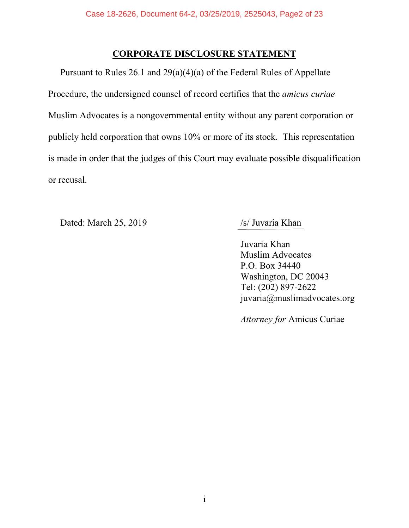#### **CORPORATE DISCLOSURE STATEMENT**

Pursuant to Rules 26.1 and 29(a)(4)(a) of the Federal Rules of Appellate Procedure, the undersigned counsel of record certifies that the *amicus curiae* Muslim Advocates is a nongovernmental entity without any parent corporation or publicly held corporation that owns 10% or more of its stock. This representation is made in order that the judges of this Court may evaluate possible disqualification or recusal.

Dated: March 25, 2019 /s/ Juvaria Khan

Juvaria Khan Muslim Advocates P.O. Box 34440 Washington, DC 20043 Tel: (202) 897-2622 juvaria@muslimadvocates.org

*Attorney for* Amicus Curiae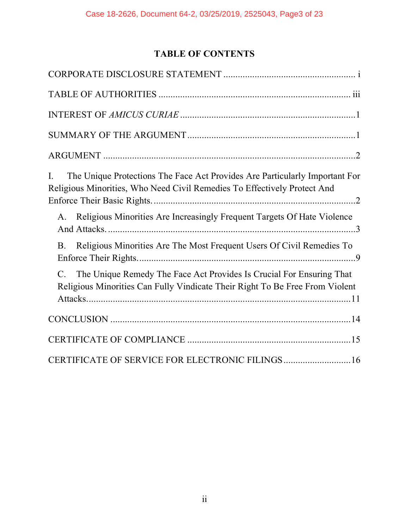# **TABLE OF CONTENTS**

| The Unique Protections The Face Act Provides Are Particularly Important For<br>L<br>Religious Minorities, Who Need Civil Remedies To Effectively Protect And |
|--------------------------------------------------------------------------------------------------------------------------------------------------------------|
| Religious Minorities Are Increasingly Frequent Targets Of Hate Violence<br>A.                                                                                |
| Religious Minorities Are The Most Frequent Users Of Civil Remedies To<br><b>B</b> .                                                                          |
| The Unique Remedy The Face Act Provides Is Crucial For Ensuring That<br>Religious Minorities Can Fully Vindicate Their Right To Be Free From Violent         |
|                                                                                                                                                              |
|                                                                                                                                                              |
| CERTIFICATE OF SERVICE FOR ELECTRONIC FILINGS16                                                                                                              |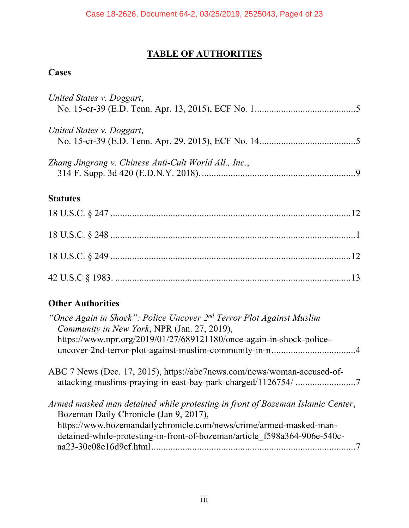#### **TABLE OF AUTHORITIES**

## **Cases**

| United States v. Doggart,                             |  |
|-------------------------------------------------------|--|
| United States v. Doggart,                             |  |
| Zhang Jingrong v. Chinese Anti-Cult World All., Inc., |  |
| <b>Statutes</b>                                       |  |
|                                                       |  |
|                                                       |  |
|                                                       |  |

## **Other Authorities**

| "Once Again in Shock": Police Uncover 2 <sup>nd</sup> Terror Plot Against Muslim<br>Community in New York, NPR (Jan. 27, 2019), |  |
|---------------------------------------------------------------------------------------------------------------------------------|--|
| https://www.npr.org/2019/01/27/689121180/once-again-in-shock-police-                                                            |  |
|                                                                                                                                 |  |
| ABC 7 News (Dec. 17, 2015), https://abc7news.com/news/woman-accused-of-                                                         |  |
|                                                                                                                                 |  |
| Armed masked man detained while protesting in front of Bozeman Islamic Center,                                                  |  |
| Bozeman Daily Chronicle (Jan 9, 2017),                                                                                          |  |
| https://www.bozemandailychronicle.com/news/crime/armed-masked-man-                                                              |  |
| detained-while-protesting-in-front-of-bozeman/article f598a364-906e-540c-                                                       |  |
|                                                                                                                                 |  |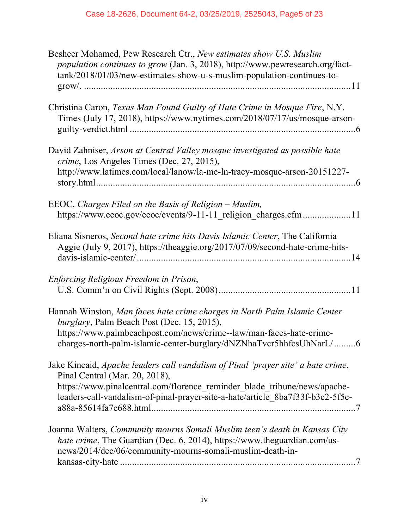| Besheer Mohamed, Pew Research Ctr., New estimates show U.S. Muslim<br>population continues to grow (Jan. 3, 2018), http://www.pewresearch.org/fact-<br>tank/2018/01/03/new-estimates-show-u-s-muslim-population-continues-to-                                                     |
|-----------------------------------------------------------------------------------------------------------------------------------------------------------------------------------------------------------------------------------------------------------------------------------|
| Christina Caron, Texas Man Found Guilty of Hate Crime in Mosque Fire, N.Y.<br>Times (July 17, 2018), https://www.nytimes.com/2018/07/17/us/mosque-arson-                                                                                                                          |
| David Zahniser, Arson at Central Valley mosque investigated as possible hate<br><i>crime</i> , Los Angeles Times (Dec. 27, 2015),<br>http://www.latimes.com/local/lanow/la-me-ln-tracy-mosque-arson-20151227-                                                                     |
| EEOC, Charges Filed on the Basis of Religion – Muslim,<br>https://www.eeoc.gov/eeoc/events/9-11-11 religion charges.cfm11                                                                                                                                                         |
| Eliana Sisneros, Second hate crime hits Davis Islamic Center, The California<br>Aggie (July 9, 2017), https://theaggie.org/2017/07/09/second-hate-crime-hits-                                                                                                                     |
| Enforcing Religious Freedom in Prison,                                                                                                                                                                                                                                            |
| Hannah Winston, Man faces hate crime charges in North Palm Islamic Center<br>burglary, Palm Beach Post (Dec. 15, 2015),<br>https://www.palmbeachpost.com/news/crime--law/man-faces-hate-crime-<br>charges-north-palm-islamic-center-burglary/dNZNhaTvcr5hhfcsUhNarL/6             |
| Jake Kincaid, Apache leaders call vandalism of Pinal 'prayer site' a hate crime,<br>Pinal Central (Mar. 20, 2018),<br>https://www.pinalcentral.com/florence_reminder_blade_tribune/news/apache-<br>leaders-call-vandalism-of-pinal-prayer-site-a-hate/article 8ba7f33f-b3c2-5f5c- |
| Joanna Walters, Community mourns Somali Muslim teen's death in Kansas City<br><i>hate crime</i> , The Guardian (Dec. 6, 2014), https://www.theguardian.com/us-<br>news/2014/dec/06/community-mourns-somali-muslim-death-in-                                                       |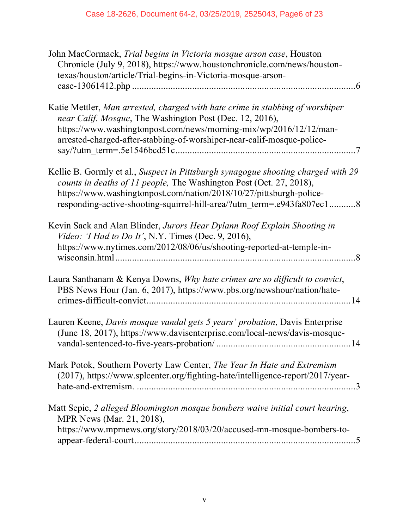| John MacCormack, Trial begins in Victoria mosque arson case, Houston<br>Chronicle (July 9, 2018), https://www.houstonchronicle.com/news/houston-<br>texas/houston/article/Trial-begins-in-Victoria-mosque-arson-                                                                                          |
|-----------------------------------------------------------------------------------------------------------------------------------------------------------------------------------------------------------------------------------------------------------------------------------------------------------|
| Katie Mettler, Man arrested, charged with hate crime in stabbing of worshiper<br>near Calif. Mosque, The Washington Post (Dec. 12, 2016),<br>https://www.washingtonpost.com/news/morning-mix/wp/2016/12/12/man-<br>arrested-charged-after-stabbing-of-worshiper-near-calif-mosque-police-                 |
| Kellie B. Gormly et al., Suspect in Pittsburgh synagogue shooting charged with 29<br>counts in deaths of 11 people, The Washington Post (Oct. 27, 2018),<br>https://www.washingtonpost.com/nation/2018/10/27/pittsburgh-police-<br>responding-active-shooting-squirrel-hill-area/?utm_term=.e943fa807ec18 |
| Kevin Sack and Alan Blinder, Jurors Hear Dylann Roof Explain Shooting in<br>Video: 'I Had to Do It', N.Y. Times (Dec. 9, 2016),<br>https://www.nytimes.com/2012/08/06/us/shooting-reported-at-temple-in-                                                                                                  |
| Laura Santhanam & Kenya Downs, Why hate crimes are so difficult to convict,<br>PBS News Hour (Jan. 6, 2017), https://www.pbs.org/newshour/nation/hate-                                                                                                                                                    |
| Lauren Keene, Davis mosque vandal gets 5 years' probation, Davis Enterprise<br>(June 18, 2017), https://www.davisenterprise.com/local-news/davis-mosque-                                                                                                                                                  |
| Mark Potok, Southern Poverty Law Center, The Year In Hate and Extremism<br>(2017), https://www.splcenter.org/fighting-hate/intelligence-report/2017/year-                                                                                                                                                 |
| Matt Sepic, 2 alleged Bloomington mosque bombers waive initial court hearing,<br>MPR News (Mar. 21, 2018),<br>https://www.mprnews.org/story/2018/03/20/accused-mn-mosque-bombers-to-                                                                                                                      |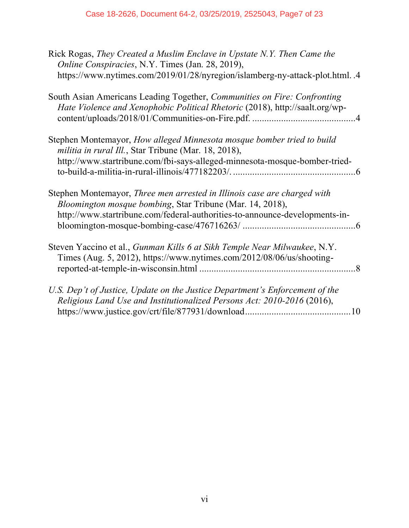| Rick Rogas, They Created a Muslim Enclave in Upstate N.Y. Then Came the<br>Online Conspiracies, N.Y. Times (Jan. 28, 2019),                              |
|----------------------------------------------------------------------------------------------------------------------------------------------------------|
| https://www.nytimes.com/2019/01/28/nyregion/islamberg-ny-attack-plot.html4                                                                               |
| South Asian Americans Leading Together, Communities on Fire: Confronting<br>Hate Violence and Xenophobic Political Rhetoric (2018), http://saalt.org/wp- |
| Stephen Montemayor, How alleged Minnesota mosque bomber tried to build<br><i>militia in rural Ill.</i> , Star Tribune (Mar. 18, 2018),                   |
| http://www.startribune.com/fbi-says-alleged-minnesota-mosque-bomber-tried-                                                                               |
| Stephen Montemayor, Three men arrested in Illinois case are charged with<br>Bloomington mosque bombing, Star Tribune (Mar. 14, 2018),                    |
| http://www.startribune.com/federal-authorities-to-announce-developments-in-                                                                              |
| Steven Yaccino et al., Gunman Kills 6 at Sikh Temple Near Milwaukee, N.Y.<br>Times (Aug. 5, 2012), https://www.nytimes.com/2012/08/06/us/shooting-       |
| U.S. Dep't of Justice, Update on the Justice Department's Enforcement of the                                                                             |
| Religious Land Use and Institutionalized Persons Act: 2010-2016 (2016),                                                                                  |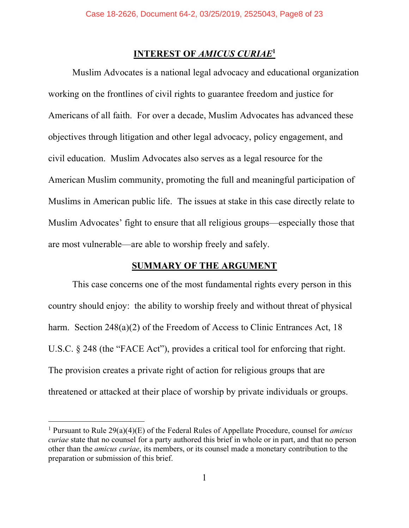#### **INTEREST OF** *AMICUS CURIAE***<sup>1</sup>**

Muslim Advocates is a national legal advocacy and educational organization working on the frontlines of civil rights to guarantee freedom and justice for Americans of all faith. For over a decade, Muslim Advocates has advanced these objectives through litigation and other legal advocacy, policy engagement, and civil education. Muslim Advocates also serves as a legal resource for the American Muslim community, promoting the full and meaningful participation of Muslims in American public life. The issues at stake in this case directly relate to Muslim Advocates' fight to ensure that all religious groups—especially those that are most vulnerable—are able to worship freely and safely.

#### **SUMMARY OF THE ARGUMENT**

This case concerns one of the most fundamental rights every person in this country should enjoy: the ability to worship freely and without threat of physical harm. Section 248(a)(2) of the Freedom of Access to Clinic Entrances Act, 18 U.S.C. § 248 (the "FACE Act"), provides a critical tool for enforcing that right. The provision creates a private right of action for religious groups that are threatened or attacked at their place of worship by private individuals or groups.

<sup>1</sup> Pursuant to Rule 29(a)(4)(E) of the Federal Rules of Appellate Procedure, counsel for *amicus curiae* state that no counsel for a party authored this brief in whole or in part, and that no person other than the *amicus curiae*, its members, or its counsel made a monetary contribution to the preparation or submission of this brief.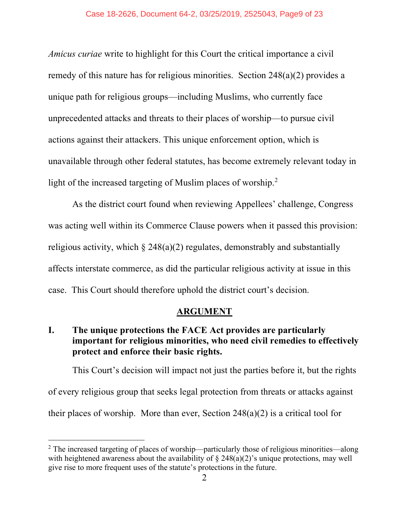*Amicus curiae* write to highlight for this Court the critical importance a civil remedy of this nature has for religious minorities. Section 248(a)(2) provides a unique path for religious groups—including Muslims, who currently face unprecedented attacks and threats to their places of worship—to pursue civil actions against their attackers. This unique enforcement option, which is unavailable through other federal statutes, has become extremely relevant today in light of the increased targeting of Muslim places of worship. 2

As the district court found when reviewing Appellees' challenge, Congress was acting well within its Commerce Clause powers when it passed this provision: religious activity, which  $\S$  248(a)(2) regulates, demonstrably and substantially affects interstate commerce, as did the particular religious activity at issue in this case. This Court should therefore uphold the district court's decision.

#### **ARGUMENT**

#### **I. The unique protections the FACE Act provides are particularly important for religious minorities, who need civil remedies to effectively protect and enforce their basic rights.**

This Court's decision will impact not just the parties before it, but the rights of every religious group that seeks legal protection from threats or attacks against their places of worship. More than ever, Section 248(a)(2) is a critical tool for

<sup>&</sup>lt;sup>2</sup> The increased targeting of places of worship—particularly those of religious minorities—along with heightened awareness about the availability of  $\S$  248(a)(2)'s unique protections, may well give rise to more frequent uses of the statute's protections in the future.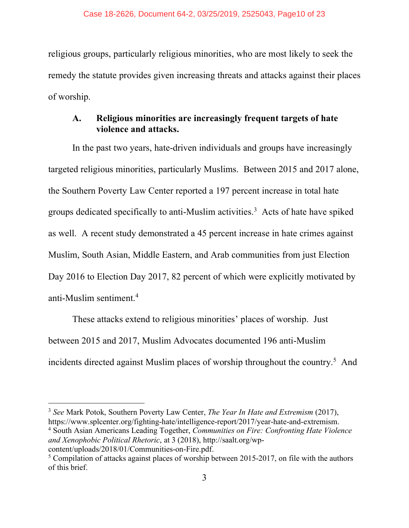religious groups, particularly religious minorities, who are most likely to seek the remedy the statute provides given increasing threats and attacks against their places of worship.

#### **A. Religious minorities are increasingly frequent targets of hate violence and attacks.**

In the past two years, hate-driven individuals and groups have increasingly targeted religious minorities, particularly Muslims. Between 2015 and 2017 alone, the Southern Poverty Law Center reported a 197 percent increase in total hate groups dedicated specifically to anti-Muslim activities.<sup>3</sup> Acts of hate have spiked as well. A recent study demonstrated a 45 percent increase in hate crimes against Muslim, South Asian, Middle Eastern, and Arab communities from just Election Day 2016 to Election Day 2017, 82 percent of which were explicitly motivated by anti-Muslim sentiment.4

These attacks extend to religious minorities' places of worship. Just between 2015 and 2017, Muslim Advocates documented 196 anti-Muslim incidents directed against Muslim places of worship throughout the country.<sup>5</sup> And

<sup>3</sup> *See* Mark Potok, Southern Poverty Law Center, *The Year In Hate and Extremism* (2017), https://www.splcenter.org/fighting-hate/intelligence-report/2017/year-hate-and-extremism. <sup>4</sup> South Asian Americans Leading Together, *Communities on Fire: Confronting Hate Violence* 

*and Xenophobic Political Rhetoric*, at 3 (2018), http://saalt.org/wp-

l

content/uploads/2018/01/Communities-on-Fire.pdf. 5 Compilation of attacks against places of worship between 2015-2017, on file with the authors of this brief.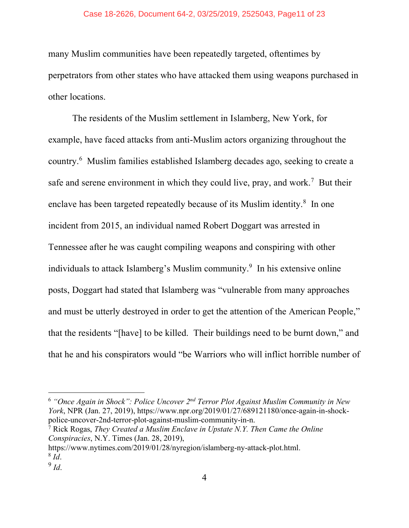many Muslim communities have been repeatedly targeted, oftentimes by perpetrators from other states who have attacked them using weapons purchased in other locations.

The residents of the Muslim settlement in Islamberg, New York, for example, have faced attacks from anti-Muslim actors organizing throughout the country.6 Muslim families established Islamberg decades ago, seeking to create a safe and serene environment in which they could live, pray, and work.<sup>7</sup> But their enclave has been targeted repeatedly because of its Muslim identity.<sup>8</sup> In one incident from 2015, an individual named Robert Doggart was arrested in Tennessee after he was caught compiling weapons and conspiring with other individuals to attack Islamberg's Muslim community.<sup>9</sup> In his extensive online posts, Doggart had stated that Islamberg was "vulnerable from many approaches and must be utterly destroyed in order to get the attention of the American People," that the residents "[have] to be killed. Their buildings need to be burnt down," and that he and his conspirators would "be Warriors who will inflict horrible number of

<sup>6</sup> *"Once Again in Shock": Police Uncover 2nd Terror Plot Against Muslim Community in New York*, NPR (Jan. 27, 2019), https://www.npr.org/2019/01/27/689121180/once-again-in-shockpolice-uncover-2nd-terror-plot-against-muslim-community-in-n.

<sup>7</sup> Rick Rogas, *They Created a Muslim Enclave in Upstate N.Y. Then Came the Online Conspiracies*, N.Y. Times (Jan. 28, 2019),

https://www.nytimes.com/2019/01/28/nyregion/islamberg-ny-attack-plot.html. <sup>8</sup> *Id*.

<sup>9</sup> *Id*.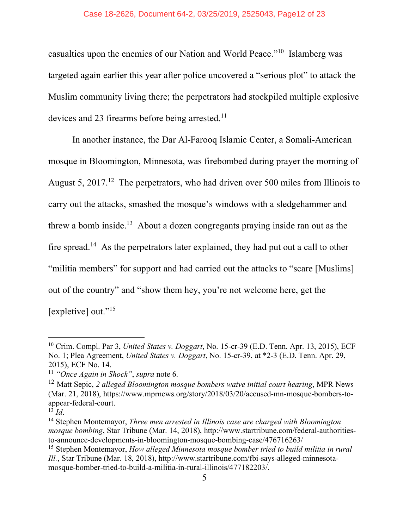#### Case 18-2626, Document 64-2, 03/25/2019, 2525043, Page12 of 23

casualties upon the enemies of our Nation and World Peace."10 Islamberg was targeted again earlier this year after police uncovered a "serious plot" to attack the Muslim community living there; the perpetrators had stockpiled multiple explosive devices and 23 firearms before being arrested.<sup>11</sup>

In another instance, the Dar Al-Farooq Islamic Center, a Somali-American mosque in Bloomington, Minnesota, was firebombed during prayer the morning of August 5, 2017.<sup>12</sup> The perpetrators, who had driven over 500 miles from Illinois to carry out the attacks, smashed the mosque's windows with a sledgehammer and threw a bomb inside. 13 About a dozen congregants praying inside ran out as the fire spread.14 As the perpetrators later explained, they had put out a call to other "militia members" for support and had carried out the attacks to "scare [Muslims] out of the country" and "show them hey, you're not welcome here, get the [expletive] out."<sup>15</sup>

<sup>10</sup> Crim. Compl. Par 3, *United States v. Doggart*, No. 15-cr-39 (E.D. Tenn. Apr. 13, 2015), ECF No. 1; Plea Agreement, *United States v. Doggart*, No. 15-cr-39, at \*2-3 (E.D. Tenn. Apr. 29, 2015), ECF No. 14.

<sup>11</sup> *"Once Again in Shock"*, *supra* note 6.

<sup>12</sup> Matt Sepic, *2 alleged Bloomington mosque bombers waive initial court hearing*, MPR News (Mar. 21, 2018), https://www.mprnews.org/story/2018/03/20/accused-mn-mosque-bombers-toappear-federal-court.

 $^{13}$  *Id*.

<sup>14</sup> Stephen Montemayor, *Three men arrested in Illinois case are charged with Bloomington mosque bombing*, Star Tribune (Mar. 14, 2018), http://www.startribune.com/federal-authoritiesto-announce-developments-in-bloomington-mosque-bombing-case/476716263/

<sup>15</sup> Stephen Montemayor, *How alleged Minnesota mosque bomber tried to build militia in rural Ill.*, Star Tribune (Mar. 18, 2018), http://www.startribune.com/fbi-says-alleged-minnesotamosque-bomber-tried-to-build-a-militia-in-rural-illinois/477182203/.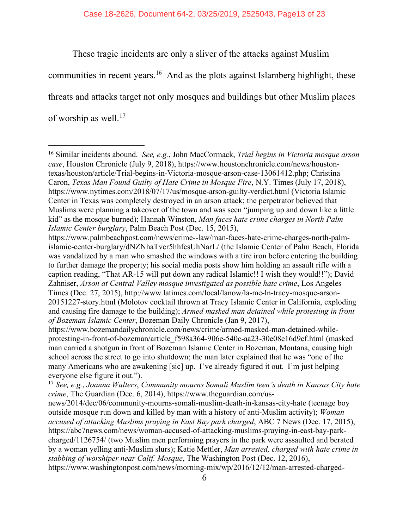These tragic incidents are only a sliver of the attacks against Muslim

communities in recent years. <sup>16</sup> And as the plots against Islamberg highlight, these

threats and attacks target not only mosques and buildings but other Muslim places

of worship as well.<sup>17</sup>

<sup>16</sup> Similar incidents abound. *See, e.g.*, John MacCormack, *Trial begins in Victoria mosque arson case*, Houston Chronicle (July 9, 2018), https://www.houstonchronicle.com/news/houstontexas/houston/article/Trial-begins-in-Victoria-mosque-arson-case-13061412.php; Christina Caron, *Texas Man Found Guilty of Hate Crime in Mosque Fire*, N.Y. Times (July 17, 2018), https://www.nytimes.com/2018/07/17/us/mosque-arson-guilty-verdict.html (Victoria Islamic Center in Texas was completely destroyed in an arson attack; the perpetrator believed that Muslims were planning a takeover of the town and was seen "jumping up and down like a little kid" as the mosque burned); Hannah Winston, *Man faces hate crime charges in North Palm Islamic Center burglary*, Palm Beach Post (Dec. 15, 2015),

https://www.palmbeachpost.com/news/crime--law/man-faces-hate-crime-charges-north-palmislamic-center-burglary/dNZNhaTvcr5hhfcsUhNarL/ (the Islamic Center of Palm Beach, Florida was vandalized by a man who smashed the windows with a tire iron before entering the building to further damage the property; his social media posts show him holding an assault rifle with a caption reading, "That AR-15 will put down any radical Islamic!! I wish they would!!"); David Zahniser, *Arson at Central Valley mosque investigated as possible hate crime*, Los Angeles Times (Dec. 27, 2015), http://www.latimes.com/local/lanow/la-me-ln-tracy-mosque-arson-20151227-story.html (Molotov cocktail thrown at Tracy Islamic Center in California, exploding and causing fire damage to the building); *Armed masked man detained while protesting in front of Bozeman Islamic Center*, Bozeman Daily Chronicle (Jan 9, 2017),

https://www.bozemandailychronicle.com/news/crime/armed-masked-man-detained-whileprotesting-in-front-of-bozeman/article\_f598a364-906e-540c-aa23-30e08e16d9cf.html (masked man carried a shotgun in front of Bozeman Islamic Center in Bozeman, Montana, causing high school across the street to go into shutdown; the man later explained that he was "one of the many Americans who are awakening [sic] up. I've already figured it out. I'm just helping everyone else figure it out.").

<sup>17</sup> *See, e.g.*, *Joanna Walters*, *Community mourns Somali Muslim teen's death in Kansas City hate crime*, The Guardian (Dec. 6, 2014), https://www.theguardian.com/usnews/2014/dec/06/community-mourns-somali-muslim-death-in-kansas-city-hate (teenage boy outside mosque run down and killed by man with a history of anti-Muslim activity); *Woman accused of attacking Muslims praying in East Bay park charged*, ABC 7 News (Dec. 17, 2015), https://abc7news.com/news/woman-accused-of-attacking-muslims-praying-in-east-bay-parkcharged/1126754/ (two Muslim men performing prayers in the park were assaulted and berated by a woman yelling anti-Muslim slurs); Katie Mettler, *Man arrested, charged with hate crime in stabbing of worshiper near Calif. Mosque*, The Washington Post (Dec. 12, 2016), https://www.washingtonpost.com/news/morning-mix/wp/2016/12/12/man-arrested-charged-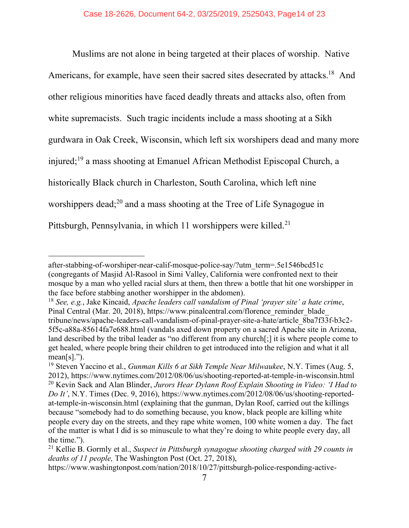Muslims are not alone in being targeted at their places of worship. Native Americans, for example, have seen their sacred sites desecrated by attacks.<sup>18</sup> And other religious minorities have faced deadly threats and attacks also, often from white supremacists. Such tragic incidents include a mass shooting at a Sikh gurdwara in Oak Creek, Wisconsin, which left six worshipers dead and many more injured;19 a mass shooting at Emanuel African Methodist Episcopal Church, a historically Black church in Charleston, South Carolina, which left nine worshippers dead;<sup>20</sup> and a mass shooting at the Tree of Life Synagogue in Pittsburgh, Pennsylvania, in which 11 worshippers were killed.<sup>21</sup>

after-stabbing-of-worshiper-near-calif-mosque-police-say/?utm\_term=.5e1546bcd51c (congregants of Masjid Al-Rasool in Simi Valley, California were confronted next to their mosque by a man who yelled racial slurs at them, then threw a bottle that hit one worshipper in the face before stabbing another worshipper in the abdomen).

<sup>18</sup> *See, e.g.*, Jake Kincaid, *Apache leaders call vandalism of Pinal 'prayer site' a hate crime*, Pinal Central (Mar. 20, 2018), https://www.pinalcentral.com/florence\_reminder\_blade tribune/news/apache-leaders-call-vandalism-of-pinal-prayer-site-a-hate/article\_8ba7f33f-b3c2- 5f5c-a88a-85614fa7e688.html (vandals axed down property on a sacred Apache site in Arizona, land described by the tribal leader as "no different from any church[;] it is where people come to get healed, where people bring their children to get introduced into the religion and what it all mean[s].").

<sup>19</sup> Steven Yaccino et al., *Gunman Kills 6 at Sikh Temple Near Milwaukee*, N.Y. Times (Aug. 5, 2012), https://www.nytimes.com/2012/08/06/us/shooting-reported-at-temple-in-wisconsin.html <sup>20</sup> Kevin Sack and Alan Blinder, *Jurors Hear Dylann Roof Explain Shooting in Video: 'I Had to Do It'*, N.Y. Times (Dec. 9, 2016), https://www.nytimes.com/2012/08/06/us/shooting-reportedat-temple-in-wisconsin.html (explaining that the gunman, Dylan Roof, carried out the killings because "somebody had to do something because, you know, black people are killing white people every day on the streets, and they rape white women, 100 white women a day. The fact of the matter is what I did is so minuscule to what they're doing to white people every day, all the time.").

<sup>21</sup> Kellie B. Gormly et al., *Suspect in Pittsburgh synagogue shooting charged with 29 counts in deaths of 11 people,* The Washington Post (Oct. 27, 2018),

https://www.washingtonpost.com/nation/2018/10/27/pittsburgh-police-responding-active-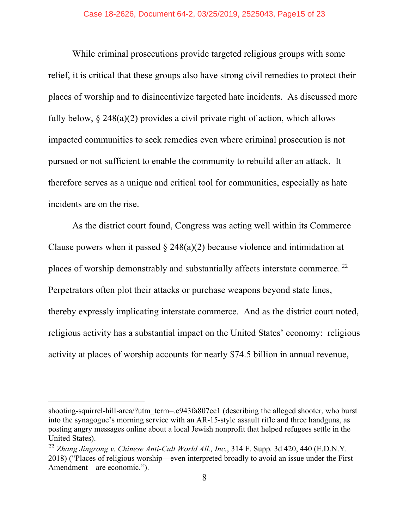While criminal prosecutions provide targeted religious groups with some relief, it is critical that these groups also have strong civil remedies to protect their places of worship and to disincentivize targeted hate incidents. As discussed more fully below, § 248(a)(2) provides a civil private right of action, which allows impacted communities to seek remedies even where criminal prosecution is not pursued or not sufficient to enable the community to rebuild after an attack. It therefore serves as a unique and critical tool for communities, especially as hate incidents are on the rise.

As the district court found, Congress was acting well within its Commerce Clause powers when it passed  $\S$  248(a)(2) because violence and intimidation at places of worship demonstrably and substantially affects interstate commerce. 22 Perpetrators often plot their attacks or purchase weapons beyond state lines, thereby expressly implicating interstate commerce. And as the district court noted, religious activity has a substantial impact on the United States' economy: religious activity at places of worship accounts for nearly \$74.5 billion in annual revenue,

shooting-squirrel-hill-area/?utm\_term=.e943fa807ec1 (describing the alleged shooter, who burst into the synagogue's morning service with an AR-15-style assault rifle and three handguns, as posting angry messages online about a local Jewish nonprofit that helped refugees settle in the United States).

<sup>22</sup> *Zhang Jingrong v. Chinese Anti-Cult World All., Inc.*, 314 F. Supp. 3d 420, 440 (E.D.N.Y. 2018) ("Places of religious worship—even interpreted broadly to avoid an issue under the First Amendment—are economic.").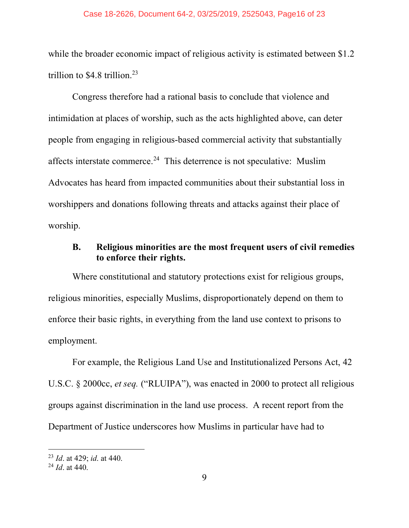while the broader economic impact of religious activity is estimated between \$1.2 trillion to \$4.8 trillion. 23

Congress therefore had a rational basis to conclude that violence and intimidation at places of worship, such as the acts highlighted above, can deter people from engaging in religious-based commercial activity that substantially affects interstate commerce.<sup>24</sup> This deterrence is not speculative: Muslim Advocates has heard from impacted communities about their substantial loss in worshippers and donations following threats and attacks against their place of worship.

#### **B. Religious minorities are the most frequent users of civil remedies to enforce their rights.**

Where constitutional and statutory protections exist for religious groups, religious minorities, especially Muslims, disproportionately depend on them to enforce their basic rights, in everything from the land use context to prisons to employment.

For example, the Religious Land Use and Institutionalized Persons Act, 42 U.S.C. § 2000cc, *et seq.* ("RLUIPA"), was enacted in 2000 to protect all religious groups against discrimination in the land use process. A recent report from the Department of Justice underscores how Muslims in particular have had to

<sup>23</sup> *Id*. at 429; *id*. at 440.

<sup>24</sup> *Id*. at 440.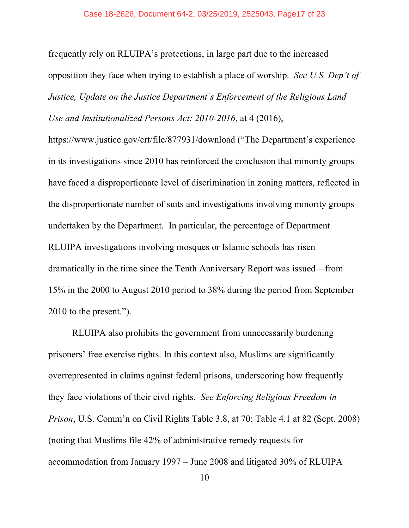frequently rely on RLUIPA's protections, in large part due to the increased opposition they face when trying to establish a place of worship. *See U.S. Dep't of Justice, Update on the Justice Department's Enforcement of the Religious Land Use and Institutionalized Persons Act: 2010-2016*, at 4 (2016),

https://www.justice.gov/crt/file/877931/download ("The Department's experience in its investigations since 2010 has reinforced the conclusion that minority groups have faced a disproportionate level of discrimination in zoning matters, reflected in the disproportionate number of suits and investigations involving minority groups undertaken by the Department. In particular, the percentage of Department RLUIPA investigations involving mosques or Islamic schools has risen dramatically in the time since the Tenth Anniversary Report was issued—from 15% in the 2000 to August 2010 period to 38% during the period from September 2010 to the present.").

RLUIPA also prohibits the government from unnecessarily burdening prisoners' free exercise rights. In this context also, Muslims are significantly overrepresented in claims against federal prisons, underscoring how frequently they face violations of their civil rights. *See Enforcing Religious Freedom in Prison*, U.S. Comm'n on Civil Rights Table 3.8, at 70; Table 4.1 at 82 (Sept. 2008) (noting that Muslims file 42% of administrative remedy requests for accommodation from January 1997 – June 2008 and litigated 30% of RLUIPA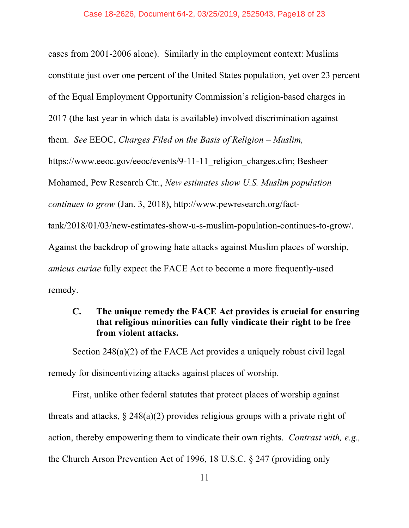cases from 2001-2006 alone). Similarly in the employment context: Muslims constitute just over one percent of the United States population, yet over 23 percent of the Equal Employment Opportunity Commission's religion-based charges in 2017 (the last year in which data is available) involved discrimination against them. *See* EEOC, *Charges Filed on the Basis of Religion – Muslim,*  https://www.eeoc.gov/eeoc/events/9-11-11 religion charges.cfm; Besheer Mohamed, Pew Research Ctr., *New estimates show U.S. Muslim population continues to grow* (Jan. 3, 2018), http://www.pewresearch.org/facttank/2018/01/03/new-estimates-show-u-s-muslim-population-continues-to-grow/. Against the backdrop of growing hate attacks against Muslim places of worship, *amicus curiae* fully expect the FACE Act to become a more frequently-used remedy.

#### **C. The unique remedy the FACE Act provides is crucial for ensuring that religious minorities can fully vindicate their right to be free from violent attacks.**

Section 248(a)(2) of the FACE Act provides a uniquely robust civil legal remedy for disincentivizing attacks against places of worship.

First, unlike other federal statutes that protect places of worship against threats and attacks,  $\S 248(a)(2)$  provides religious groups with a private right of action, thereby empowering them to vindicate their own rights. *Contrast with, e.g.,* the Church Arson Prevention Act of 1996, 18 U.S.C. § 247 (providing only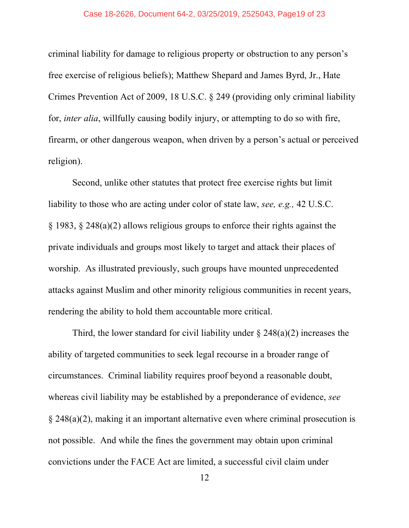#### Case 18-2626, Document 64-2, 03/25/2019, 2525043, Page19 of 23

criminal liability for damage to religious property or obstruction to any person's free exercise of religious beliefs); Matthew Shepard and James Byrd, Jr., Hate Crimes Prevention Act of 2009, 18 U.S.C. § 249 (providing only criminal liability for, *inter alia*, willfully causing bodily injury, or attempting to do so with fire, firearm, or other dangerous weapon, when driven by a person's actual or perceived religion).

Second, unlike other statutes that protect free exercise rights but limit liability to those who are acting under color of state law, *see, e.g.,* 42 U.S.C. § 1983, § 248(a)(2) allows religious groups to enforce their rights against the private individuals and groups most likely to target and attack their places of worship. As illustrated previously, such groups have mounted unprecedented attacks against Muslim and other minority religious communities in recent years, rendering the ability to hold them accountable more critical.

Third, the lower standard for civil liability under  $\S 248(a)(2)$  increases the ability of targeted communities to seek legal recourse in a broader range of circumstances. Criminal liability requires proof beyond a reasonable doubt, whereas civil liability may be established by a preponderance of evidence, *see*  § 248(a)(2), making it an important alternative even where criminal prosecution is not possible. And while the fines the government may obtain upon criminal convictions under the FACE Act are limited, a successful civil claim under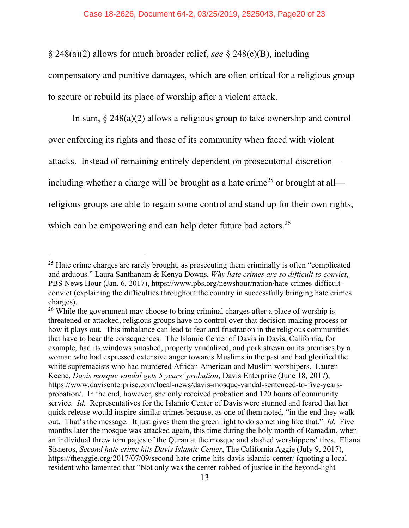§ 248(a)(2) allows for much broader relief, *see* § 248(c)(B), including

compensatory and punitive damages, which are often critical for a religious group to secure or rebuild its place of worship after a violent attack.

In sum, § 248(a)(2) allows a religious group to take ownership and control over enforcing its rights and those of its community when faced with violent attacks. Instead of remaining entirely dependent on prosecutorial discretion including whether a charge will be brought as a hate crime<sup>25</sup> or brought at all religious groups are able to regain some control and stand up for their own rights, which can be empowering and can help deter future bad actors.<sup>26</sup>

 $25$  Hate crime charges are rarely brought, as prosecuting them criminally is often "complicated" and arduous." Laura Santhanam & Kenya Downs, *Why hate crimes are so difficult to convict*, PBS News Hour (Jan. 6, 2017), https://www.pbs.org/newshour/nation/hate-crimes-difficultconvict (explaining the difficulties throughout the country in successfully bringing hate crimes charges).

<sup>&</sup>lt;sup>26</sup> While the government may choose to bring criminal charges after a place of worship is threatened or attacked, religious groups have no control over that decision-making process or how it plays out. This imbalance can lead to fear and frustration in the religious communities that have to bear the consequences. The Islamic Center of Davis in Davis, California, for example, had its windows smashed, property vandalized, and pork strewn on its premises by a woman who had expressed extensive anger towards Muslims in the past and had glorified the white supremacists who had murdered African American and Muslim worshipers. Lauren Keene, *Davis mosque vandal gets 5 years' probation*, Davis Enterprise (June 18, 2017), https://www.davisenterprise.com/local-news/davis-mosque-vandal-sentenced-to-five-yearsprobation/. In the end, however, she only received probation and 120 hours of community service. *Id*. Representatives for the Islamic Center of Davis were stunned and feared that her quick release would inspire similar crimes because, as one of them noted, "in the end they walk out. That's the message. It just gives them the green light to do something like that." *Id*. Five months later the mosque was attacked again, this time during the holy month of Ramadan, when an individual threw torn pages of the Quran at the mosque and slashed worshippers' tires. Eliana Sisneros, *Second hate crime hits Davis Islamic Center*, The California Aggie (July 9, 2017), https://theaggie.org/2017/07/09/second-hate-crime-hits-davis-islamic-center/ (quoting a local resident who lamented that "Not only was the center robbed of justice in the beyond-light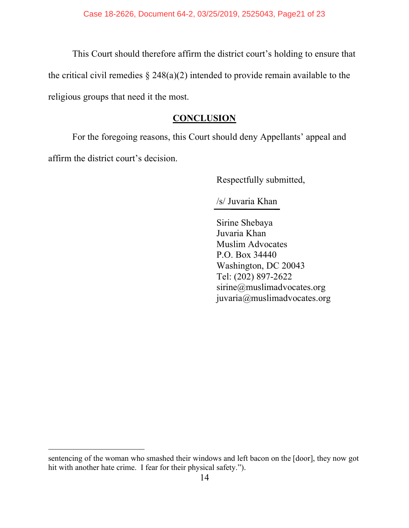This Court should therefore affirm the district court's holding to ensure that the critical civil remedies  $\S 248(a)(2)$  intended to provide remain available to the religious groups that need it the most.

#### **CONCLUSION**

For the foregoing reasons, this Court should deny Appellants' appeal and affirm the district court's decision.

Respectfully submitted,

/s/ Juvaria Khan

Sirine Shebaya Juvaria Khan Muslim Advocates P.O. Box 34440 Washington, DC 20043 Tel: (202) 897-2622 sirine@muslimadvocates.org juvaria@muslimadvocates.org

sentencing of the woman who smashed their windows and left bacon on the [door], they now got hit with another hate crime. I fear for their physical safety.").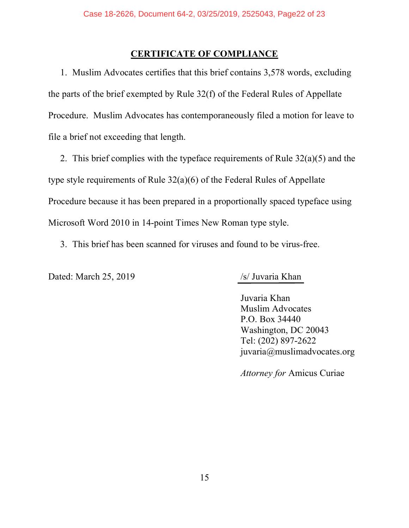#### **CERTIFICATE OF COMPLIANCE**

1. Muslim Advocates certifies that this brief contains 3,578 words, excluding the parts of the brief exempted by Rule 32(f) of the Federal Rules of Appellate Procedure. Muslim Advocates has contemporaneously filed a motion for leave to file a brief not exceeding that length.

2. This brief complies with the typeface requirements of Rule 32(a)(5) and the type style requirements of Rule 32(a)(6) of the Federal Rules of Appellate Procedure because it has been prepared in a proportionally spaced typeface using Microsoft Word 2010 in 14-point Times New Roman type style.

3. This brief has been scanned for viruses and found to be virus-free.

Dated: March 25, 2019 /s/ Juvaria Khan

Juvaria Khan Muslim Advocates P.O. Box 34440 Washington, DC 20043 Tel: (202) 897-2622 juvaria@muslimadvocates.org

*Attorney for* Amicus Curiae